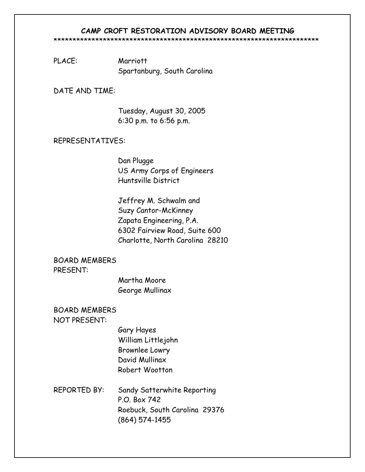# **CAMP CROFT RESTORATION ADVISORY BOARD MEETING**

\*\*\*\*\*\*\*\*\*\*\*\*\*\*\*\*\*\*\*\*\*\*\*\*\*\*\*\*\*\*\*\*\*\*\*\*\*\*\*\*\*\*\*\*\*\*\*\*\*\*\*\*\*\*\*\*\*\*\*\*\*\*\*\*\*\*\*\*\*\*

PLACE: Marriott Spartanburg, South Carolina

# DATE AND TIME:

Tuesday, August 30, 2005 6:30 p.m. to 6:56 p.m.

#### REPRESENTATIVES:

Dan Plugge US Army Corps of Engineers Huntsville District

 Jeffrey M. Schwalm and Suzy Cantor-McKinney Zapata Engineering, P.A. 6302 Fairview Road, Suite 600 Charlotte, North Carolina 28210

### BOARD MEMBERS PRESENT:

 Martha Moore George Mullinax

BOARD MEMBERS NOT PRESENT:

- Gary Hayes William Littlejohn Brownlee Lowry David Mullinax Robert Wootton
- REPORTED BY: Sandy Satterwhite Reporting P.O. Box 742 Roebuck, South Carolina 29376 (864) 574-1455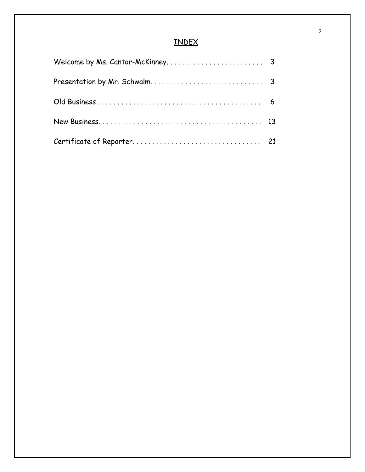# INDEX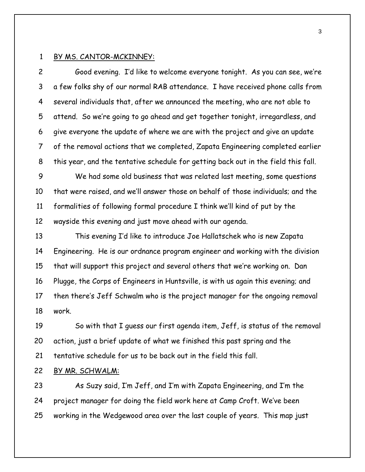#### 1 BY MS. CANTOR-MCKINNEY:

2 Good evening. I'd like to welcome everyone tonight. As you can see, we're 3 a few folks shy of our normal RAB attendance. I have received phone calls from 4 several individuals that, after we announced the meeting, who are not able to 5 attend. So we're going to go ahead and get together tonight, irregardless, and 6 give everyone the update of where we are with the project and give an update 7 of the removal actions that we completed, Zapata Engineering completed earlier 8 this year, and the tentative schedule for getting back out in the field this fall.

9 We had some old business that was related last meeting, some questions 10 that were raised, and we'll answer those on behalf of those individuals; and the 11 formalities of following formal procedure I think we'll kind of put by the 12 wayside this evening and just move ahead with our agenda.

13 This evening I'd like to introduce Joe Hallatschek who is new Zapata 14 Engineering. He is our ordnance program engineer and working with the division 15 that will support this project and several others that we're working on. Dan 16 Plugge, the Corps of Engineers in Huntsville, is with us again this evening; and 17 then there's Jeff Schwalm who is the project manager for the ongoing removal 18 work.

19 So with that I guess our first agenda item, Jeff, is status of the removal 20 action, just a brief update of what we finished this past spring and the 21 tentative schedule for us to be back out in the field this fall.

## 22 BY MR. SCHWALM:

23 As Suzy said, I'm Jeff, and I'm with Zapata Engineering, and I'm the 24 project manager for doing the field work here at Camp Croft. We've been 25 working in the Wedgewood area over the last couple of years. This map just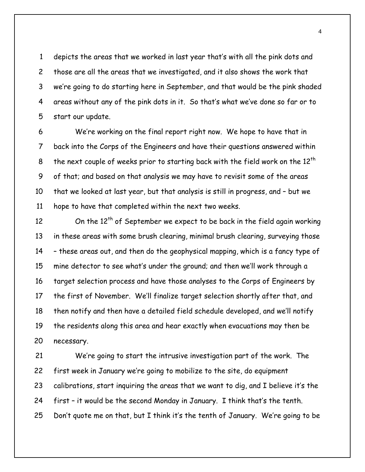1 depicts the areas that we worked in last year that's with all the pink dots and 2 those are all the areas that we investigated, and it also shows the work that 3 we're going to do starting here in September, and that would be the pink shaded 4 areas without any of the pink dots in it. So that's what we've done so far or to 5 start our update.

6 We're working on the final report right now. We hope to have that in 7 back into the Corps of the Engineers and have their questions answered within 8 the next couple of weeks prior to starting back with the field work on the  $12^{th}$ 9 of that; and based on that analysis we may have to revisit some of the areas 10 that we looked at last year, but that analysis is still in progress, and – but we 11 hope to have that completed within the next two weeks.

12 On the  $12^{th}$  of September we expect to be back in the field again working 13 in these areas with some brush clearing, minimal brush clearing, surveying those 14 – these areas out, and then do the geophysical mapping, which is a fancy type of 15 mine detector to see what's under the ground; and then we'll work through a 16 target selection process and have those analyses to the Corps of Engineers by 17 the first of November. We'll finalize target selection shortly after that, and 18 then notify and then have a detailed field schedule developed, and we'll notify 19 the residents along this area and hear exactly when evacuations may then be 20 necessary.

21 We're going to start the intrusive investigation part of the work. The 22 first week in January we're going to mobilize to the site, do equipment 23 calibrations, start inquiring the areas that we want to dig, and I believe it's the 24 first – it would be the second Monday in January. I think that's the tenth. 25 Don't quote me on that, but I think it's the tenth of January. We're going to be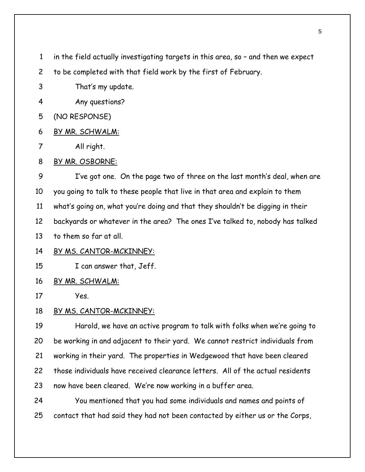1 in the field actually investigating targets in this area, so – and then we expect

2 to be completed with that field work by the first of February.

- 3 That's my update.
- 4 Any questions?
- 5 (NO RESPONSE)
- 6 BY MR. SCHWALM:
- 7 All right.
- 8 BY MR. OSBORNE:

9 I've got one. On the page two of three on the last month's deal, when are 10 you going to talk to these people that live in that area and explain to them 11 what's going on, what you're doing and that they shouldn't be digging in their 12 backyards or whatever in the area? The ones I've talked to, nobody has talked 13 to them so far at all.

- 14 BY MS. CANTOR-MCKINNEY:
- 15 I can answer that, Jeff.
- 16 BY MR. SCHWALM:

17 Yes.

18 BY MS. CANTOR-MCKINNEY:

19 Harold, we have an active program to talk with folks when we're going to 20 be working in and adjacent to their yard. We cannot restrict individuals from 21 working in their yard. The properties in Wedgewood that have been cleared 22 those individuals have received clearance letters. All of the actual residents 23 now have been cleared. We're now working in a buffer area.

24 You mentioned that you had some individuals and names and points of 25 contact that had said they had not been contacted by either us or the Corps,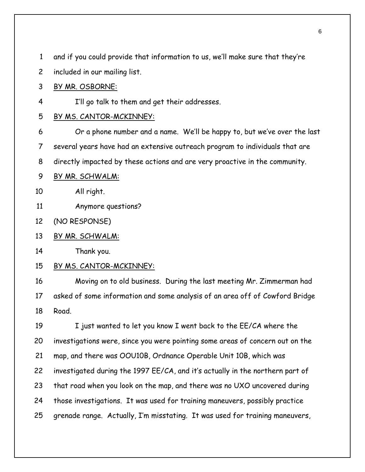| $\mathbf{1}$   | and if you could provide that information to us, we'll make sure that they're |
|----------------|-------------------------------------------------------------------------------|
| $\overline{2}$ | included in our mailing list.                                                 |
| 3              | BY MR. OSBORNE:                                                               |
| 4              | I'll go talk to them and get their addresses.                                 |
| 5              | BY MS. CANTOR-MCKINNEY:                                                       |
| 6              | Or a phone number and a name. We'll be happy to, but we've over the last      |
| 7              | several years have had an extensive outreach program to individuals that are  |
| 8              | directly impacted by these actions and are very proactive in the community.   |
| 9              | <u>BY MR. SCHWALM:</u>                                                        |
| 10             | All right.                                                                    |
| 11             | Anymore questions?                                                            |
| 12             | (NO RESPONSE)                                                                 |
| 13             | BY MR. SCHWALM:                                                               |
| 14             | Thank you.                                                                    |
| 15             | BY MS. CANTOR-MCKINNEY:                                                       |
| 16             | Moving on to old business. During the last meeting Mr. Zimmerman had          |
| 17             | asked of some information and some analysis of an area off of Cowford Bridge  |
| 18             | Road.                                                                         |
| 19             | I just wanted to let you know I went back to the EE/CA where the              |
| 20             | investigations were, since you were pointing some areas of concern out on the |
| 21             | map, and there was OOU10B, Ordnance Operable Unit 10B, which was              |
| 22             | investigated during the 1997 EE/CA, and it's actually in the northern part of |
| 23             | that road when you look on the map, and there was no UXO uncovered during     |
| 24             | those investigations. It was used for training maneuvers, possibly practice   |
| 25             | grenade range. Actually, I'm misstating. It was used for training maneuvers,  |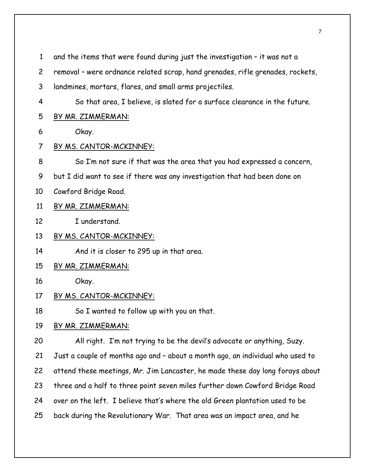1 and the items that were found during just the investigation – it was not a 2 removal – were ordnance related scrap, hand grenades, rifle grenades, rockets, 3 landmines, mortars, flares, and small arms projectiles. 4 So that area, I believe, is slated for a surface clearance in the future. 5 BY MR. ZIMMERMAN: 6 Okay. 7 BY MS. CANTOR-MCKINNEY: 8 So I'm not sure if that was the area that you had expressed a concern, 9 but I did want to see if there was any investigation that had been done on 10 Cowford Bridge Road. 11 BY MR. ZIMMERMAN: 12 I understand.

- 13 BY MS. CANTOR-MCKINNEY:
- 14 And it is closer to 295 up in that area.
- 15 BY MR. ZIMMERMAN:
- 16 Okay.

## 17 BY MS. CANTOR-MCKINNEY:

18 So I wanted to follow up with you on that.

# 19 BY MR. ZIMMERMAN:

20 All right. I'm not trying to be the devil's advocate or anything, Suzy.

21 Just a couple of months ago and – about a month ago, an individual who used to

22 attend these meetings, Mr. Jim Lancaster, he made these day long forays about

23 three and a half to three point seven miles further down Cowford Bridge Road

24 over on the left. I believe that's where the old Green plantation used to be

25 back during the Revolutionary War. That area was an impact area, and he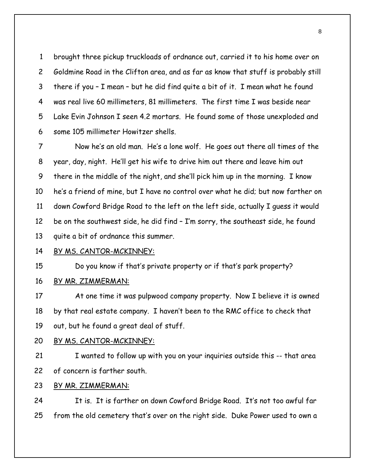1 brought three pickup truckloads of ordnance out, carried it to his home over on 2 Goldmine Road in the Clifton area, and as far as know that stuff is probably still 3 there if you – I mean – but he did find quite a bit of it. I mean what he found 4 was real live 60 millimeters, 81 millimeters. The first time I was beside near 5 Lake Evin Johnson I seen 4.2 mortars. He found some of those unexploded and 6 some 105 millimeter Howitzer shells.

7 Now he's an old man. He's a lone wolf. He goes out there all times of the 8 year, day, night. He'll get his wife to drive him out there and leave him out 9 there in the middle of the night, and she'll pick him up in the morning. I know 10 he's a friend of mine, but I have no control over what he did; but now farther on 11 down Cowford Bridge Road to the left on the left side, actually I guess it would 12 be on the southwest side, he did find – I'm sorry, the southeast side, he found 13 quite a bit of ordnance this summer.

#### 14 BY MS. CANTOR-MCKINNEY:

15 Do you know if that's private property or if that's park property?

16 BY MR. ZIMMERMAN:

17 At one time it was pulpwood company property. Now I believe it is owned 18 by that real estate company. I haven't been to the RMC office to check that 19 out, but he found a great deal of stuff.

#### 20 BY MS. CANTOR-MCKINNEY:

- 21 I wanted to follow up with you on your inquiries outside this -- that area 22 of concern is farther south.
- 23 BY MR. ZIMMERMAN:

24 It is. It is farther on down Cowford Bridge Road. It's not too awful far 25 from the old cemetery that's over on the right side. Duke Power used to own a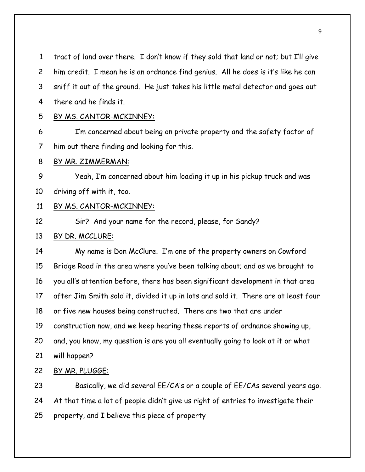| $\mathbf{1}$   | tract of land over there. I don't know if they sold that land or not; but I'll give |
|----------------|-------------------------------------------------------------------------------------|
| $\overline{c}$ | him credit. I mean he is an ordnance find genius. All he does is it's like he can   |
| 3              | sniff it out of the ground. He just takes his little metal detector and goes out    |
| 4              | there and he finds it.                                                              |
| 5              | BY MS. CANTOR-MCKINNEY:                                                             |
| 6              | I'm concerned about being on private property and the safety factor of              |
| $\overline{7}$ | him out there finding and looking for this.                                         |
| 8              | <u>BY MR. ZIMMERMAN:</u>                                                            |
| 9              | Yeah, I'm concerned about him loading it up in his pickup truck and was             |
| 10             | driving off with it, too.                                                           |
| 11             | BY MS. CANTOR-MCKINNEY:                                                             |
| 12             | Sir? And your name for the record, please, for Sandy?                               |
| 13             | BY DR. MCCLURE:                                                                     |
| 14             | My name is Don McClure. I'm one of the property owners on Cowford                   |
| 15             | Bridge Road in the area where you've been talking about; and as we brought to       |
| 16             | you all's attention before, there has been significant development in that area     |
| 17             | after Jim Smith sold it, divided it up in lots and sold it. There are at least four |
| 18             | or five new houses being constructed. There are two that are under                  |
| 19             | construction now, and we keep hearing these reports of ordnance showing up,         |
| 20             | and, you know, my question is are you all eventually going to look at it or what    |
| 21             | will happen?                                                                        |
| 22             | BY MR. PLUGGE:                                                                      |
| 23             | Basically, we did several EE/CA's or a couple of EE/CAs several years ago.          |
| 24             | At that time a lot of people didn't give us right of entries to investigate their   |
| 25             | property, and I believe this piece of property ---                                  |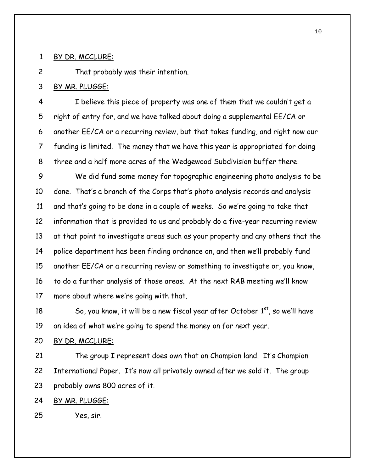#### 1 BY DR. MCCLURE:

2 That probably was their intention.

3 BY MR. PLUGGE:

4 I believe this piece of property was one of them that we couldn't get a 5 right of entry for, and we have talked about doing a supplemental EE/CA or 6 another EE/CA or a recurring review, but that takes funding, and right now our 7 funding is limited. The money that we have this year is appropriated for doing 8 three and a half more acres of the Wedgewood Subdivision buffer there.

9 We did fund some money for topographic engineering photo analysis to be 10 done. That's a branch of the Corps that's photo analysis records and analysis 11 and that's going to be done in a couple of weeks. So we're going to take that 12 information that is provided to us and probably do a five-year recurring review 13 at that point to investigate areas such as your property and any others that the 14 police department has been finding ordnance on, and then we'll probably fund 15 another EE/CA or a recurring review or something to investigate or, you know, 16 to do a further analysis of those areas. At the next RAB meeting we'll know 17 more about where we're going with that.

18 So, you know, it will be a new fiscal year after October  $1<sup>st</sup>$ , so we'll have 19 an idea of what we're going to spend the money on for next year.

20 BY DR. MCCLURE:

21 The group I represent does own that on Champion land. It's Champion 22 International Paper. It's now all privately owned after we sold it. The group 23 probably owns 800 acres of it.

24 BY MR. PLUGGE:

25 Yes, sir.

10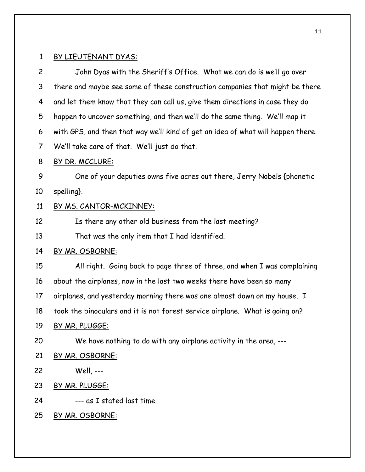## 1 BY LIEUTENANT DYAS:

2 John Dyas with the Sheriff's Office. What we can do is we'll go over 3 there and maybe see some of these construction companies that might be there 4 and let them know that they can call us, give them directions in case they do 5 happen to uncover something, and then we'll do the same thing. We'll map it 6 with GPS, and then that way we'll kind of get an idea of what will happen there. 7 We'll take care of that. We'll just do that. 8 BY DR. MCCLURE: 9 One of your deputies owns five acres out there, Jerry Nobels {phonetic 10 spelling}. 11 BY MS. CANTOR-MCKINNEY: 12 Is there any other old business from the last meeting? 13 That was the only item that I had identified. 14 BY MR. OSBORNE: 15 All right. Going back to page three of three, and when I was complaining 16 about the airplanes, now in the last two weeks there have been so many 17 airplanes, and yesterday morning there was one almost down on my house. I 18 took the binoculars and it is not forest service airplane. What is going on? 19 BY MR. PLUGGE: 20 We have nothing to do with any airplane activity in the area, --- 21 BY MR. OSBORNE: 22 Well, --- 23 BY MR. PLUGGE: 24 --- as I stated last time. 25 BY MR. OSBORNE: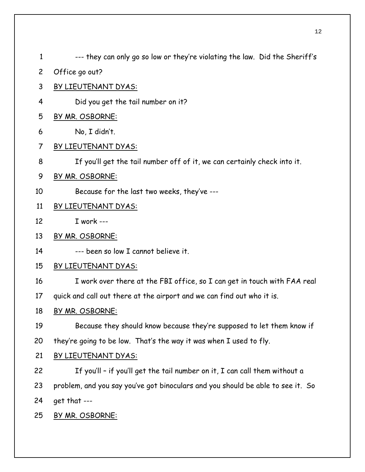1 --- they can only go so low or they're violating the law. Did the Sheriff's 2 Office go out? 3 BY LIEUTENANT DYAS: 4 Did you get the tail number on it? 5 BY MR. OSBORNE: 6 No, I didn't. 7 BY LIEUTENANT DYAS: 8 If you'll get the tail number off of it, we can certainly check into it. 9 BY MR. OSBORNE: 10 Because for the last two weeks, they've --- 11 BY LIEUTENANT DYAS: 12 I work --- 13 BY MR. OSBORNE: 14 --- been so low I cannot believe it. 15 BY LIEUTENANT DYAS: 16 I work over there at the FBI office, so I can get in touch with FAA real 17 quick and call out there at the airport and we can find out who it is. 18 BY MR. OSBORNE: 19 Because they should know because they're supposed to let them know if 20 they're going to be low. That's the way it was when I used to fly. 21 BY LIEUTENANT DYAS: 22 If you'll – if you'll get the tail number on it, I can call them without a 23 problem, and you say you've got binoculars and you should be able to see it. So 24 get that --- 25 BY MR. OSBORNE: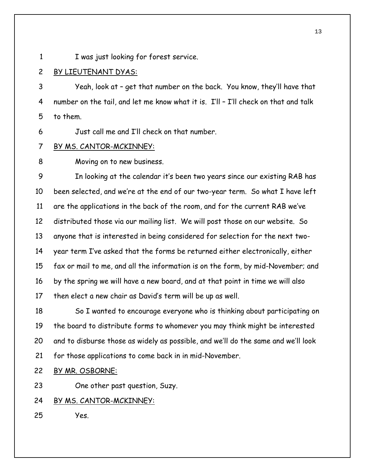1 I was just looking for forest service.

## 2 BY LIEUTENANT DYAS:

3 Yeah, look at – get that number on the back. You know, they'll have that 4 number on the tail, and let me know what it is. I'll – I'll check on that and talk 5 to them.

6 Just call me and I'll check on that number.

## 7 BY MS. CANTOR-MCKINNEY:

8 Moving on to new business.

9 In looking at the calendar it's been two years since our existing RAB has 10 been selected, and we're at the end of our two-year term. So what I have left 11 are the applications in the back of the room, and for the current RAB we've 12 distributed those via our mailing list. We will post those on our website. So 13 anyone that is interested in being considered for selection for the next two-14 year term I've asked that the forms be returned either electronically, either 15 fax or mail to me, and all the information is on the form, by mid-November; and 16 by the spring we will have a new board, and at that point in time we will also 17 then elect a new chair as David's term will be up as well.

18 So I wanted to encourage everyone who is thinking about participating on 19 the board to distribute forms to whomever you may think might be interested 20 and to disburse those as widely as possible, and we'll do the same and we'll look 21 for those applications to come back in in mid-November.

22 BY MR. OSBORNE:

23 One other past question, Suzy.

# 24 BY MS. CANTOR-MCKINNEY:

25 Yes.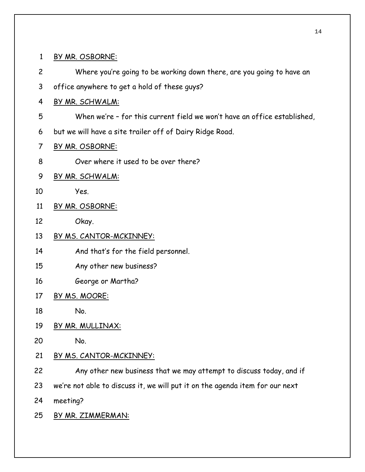1 BY MR. OSBORNE: 2 Where you're going to be working down there, are you going to have an 3 office anywhere to get a hold of these guys? 4 BY MR. SCHWALM: 5 When we're – for this current field we won't have an office established, 6 but we will have a site trailer off of Dairy Ridge Road. 7 BY MR. OSBORNE: 8 Over where it used to be over there? 9 BY MR. SCHWALM: 10 Yes. 11 BY MR. OSBORNE: 12 Okay. 13 BY MS. CANTOR-MCKINNEY: 14 And that's for the field personnel. 15 Any other new business? 16 George or Martha? 17 BY MS. MOORE: 18 No. 19 BY MR. MULLINAX: 20 No. 21 BY MS. CANTOR-MCKINNEY: 22 Any other new business that we may attempt to discuss today, and if 23 we're not able to discuss it, we will put it on the agenda item for our next 24 meeting? 25 BY MR. ZIMMERMAN: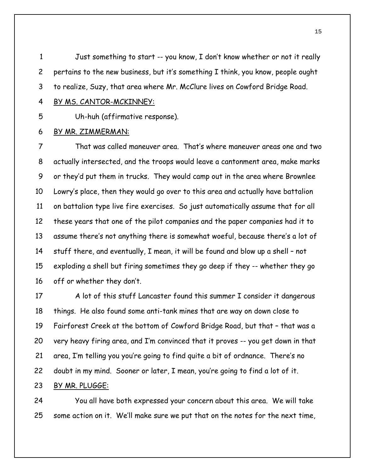1 Just something to start -- you know, I don't know whether or not it really 2 pertains to the new business, but it's something I think, you know, people ought 3 to realize, Suzy, that area where Mr. McClure lives on Cowford Bridge Road.

### 4 BY MS. CANTOR-MCKINNEY:

5 Uh-huh (affirmative response).

# 6 BY MR. ZIMMERMAN:

7 That was called maneuver area. That's where maneuver areas one and two 8 actually intersected, and the troops would leave a cantonment area, make marks 9 or they'd put them in trucks. They would camp out in the area where Brownlee 10 Lowry's place, then they would go over to this area and actually have battalion 11 on battalion type live fire exercises. So just automatically assume that for all 12 these years that one of the pilot companies and the paper companies had it to 13 assume there's not anything there is somewhat woeful, because there's a lot of 14 stuff there, and eventually, I mean, it will be found and blow up a shell – not 15 exploding a shell but firing sometimes they go deep if they -- whether they go 16 off or whether they don't.

17 A lot of this stuff Lancaster found this summer I consider it dangerous 18 things. He also found some anti-tank mines that are way on down close to 19 Fairforest Creek at the bottom of Cowford Bridge Road, but that – that was a 20 very heavy firing area, and I'm convinced that it proves -- you get down in that 21 area, I'm telling you you're going to find quite a bit of ordnance. There's no 22 doubt in my mind. Sooner or later, I mean, you're going to find a lot of it.

### 23 BY MR. PLUGGE:

24 You all have both expressed your concern about this area. We will take 25 some action on it. We'll make sure we put that on the notes for the next time,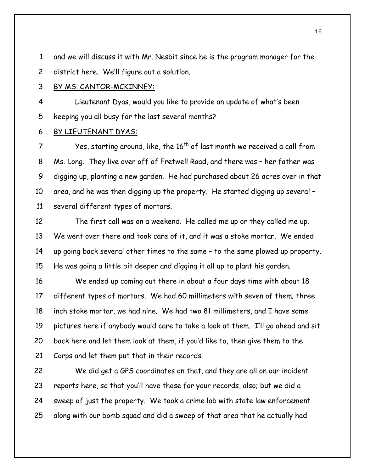1 and we will discuss it with Mr. Nesbit since he is the program manager for the

2 district here. We'll figure out a solution.

#### 3 BY MS. CANTOR-MCKINNEY:

4 Lieutenant Dyas, would you like to provide an update of what's been 5 keeping you all busy for the last several months?

#### 6 BY LIEUTENANT DYAS:

 $\sigma$  Yes, starting around, like, the 16<sup>th</sup> of last month we received a call from 8 Ms. Long. They live over off of Fretwell Road, and there was – her father was 9 digging up, planting a new garden. He had purchased about 26 acres over in that 10 area, and he was then digging up the property. He started digging up several – 11 several different types of mortars.

12 The first call was on a weekend. He called me up or they called me up. 13 We went over there and took care of it, and it was a stoke mortar. We ended 14 up going back several other times to the same – to the same plowed up property. 15 He was going a little bit deeper and digging it all up to plant his garden.

16 We ended up coming out there in about a four days time with about 18 17 different types of mortars. We had 60 millimeters with seven of them; three 18 inch stoke mortar, we had nine. We had two 81 millimeters, and I have some 19 pictures here if anybody would care to take a look at them. I'll go ahead and sit 20 back here and let them look at them, if you'd like to, then give them to the 21 Corps and let them put that in their records.

22 We did get a GPS coordinates on that, and they are all on our incident 23 reports here, so that you'll have those for your records, also; but we did a 24 sweep of just the property. We took a crime lab with state law enforcement 25 along with our bomb squad and did a sweep of that area that he actually had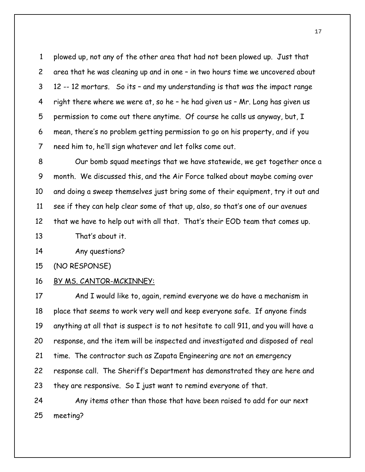1 plowed up, not any of the other area that had not been plowed up. Just that 2 area that he was cleaning up and in one – in two hours time we uncovered about 3 12 -- 12 mortars. So its – and my understanding is that was the impact range 4 right there where we were at, so he – he had given us – Mr. Long has given us 5 permission to come out there anytime. Of course he calls us anyway, but, I 6 mean, there's no problem getting permission to go on his property, and if you 7 need him to, he'll sign whatever and let folks come out.

8 Our bomb squad meetings that we have statewide, we get together once a 9 month. We discussed this, and the Air Force talked about maybe coming over 10 and doing a sweep themselves just bring some of their equipment, try it out and 11 see if they can help clear some of that up, also, so that's one of our avenues 12 that we have to help out with all that. That's their EOD team that comes up. 13 That's about it.

- 
- 14 Any questions?
- 15 (NO RESPONSE)
- 16 BY MS. CANTOR-MCKINNEY:

17 And I would like to, again, remind everyone we do have a mechanism in 18 place that seems to work very well and keep everyone safe. If anyone finds 19 anything at all that is suspect is to not hesitate to call 911, and you will have a 20 response, and the item will be inspected and investigated and disposed of real 21 time. The contractor such as Zapata Engineering are not an emergency 22 response call. The Sheriff's Department has demonstrated they are here and 23 they are responsive. So I just want to remind everyone of that.

24 Any items other than those that have been raised to add for our next 25 meeting?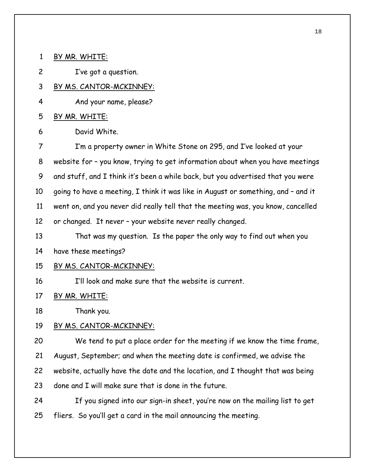1 BY MR. WHITE:

2 I've got a question.

- 3 BY MS. CANTOR-MCKINNEY:
- 4 And your name, please?
- 5 BY MR. WHITE:
- 6 David White.

7 I'm a property owner in White Stone on 295, and I've looked at your 8 website for – you know, trying to get information about when you have meetings 9 and stuff, and I think it's been a while back, but you advertised that you were 10 going to have a meeting, I think it was like in August or something, and – and it 11 went on, and you never did really tell that the meeting was, you know, cancelled 12 or changed. It never – your website never really changed. 13 That was my question. Is the paper the only way to find out when you 14 have these meetings?

- 15 BY MS. CANTOR-MCKINNEY:
- 16 I'll look and make sure that the website is current.
- 17 BY MR. WHITE:
- 18 Thank you.
- 19 BY MS. CANTOR-MCKINNEY:

20 We tend to put a place order for the meeting if we know the time frame,

21 August, September; and when the meeting date is confirmed, we advise the

22 website, actually have the date and the location, and I thought that was being

23 done and I will make sure that is done in the future.

24 If you signed into our sign-in sheet, you're now on the mailing list to get 25 fliers. So you'll get a card in the mail announcing the meeting.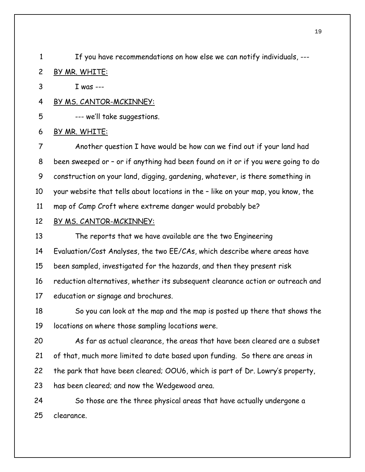- 1 If you have recommendations on how else we can notify individuals, ---
- 2 BY MR. WHITE:
- 3 I was ---

## 4 BY MS. CANTOR-MCKINNEY:

5 --- we'll take suggestions.

## 6 BY MR. WHITE:

7 Another question I have would be how can we find out if your land had 8 been sweeped or – or if anything had been found on it or if you were going to do 9 construction on your land, digging, gardening, whatever, is there something in 10 your website that tells about locations in the – like on your map, you know, the 11 map of Camp Croft where extreme danger would probably be?

# 12 BY MS. CANTOR-MCKINNEY:

13 The reports that we have available are the two Engineering

14 Evaluation/Cost Analyses, the two EE/CAs, which describe where areas have

15 been sampled, investigated for the hazards, and then they present risk

16 reduction alternatives, whether its subsequent clearance action or outreach and

17 education or signage and brochures.

18 So you can look at the map and the map is posted up there that shows the 19 locations on where those sampling locations were.

20 As far as actual clearance, the areas that have been cleared are a subset 21 of that, much more limited to date based upon funding. So there are areas in 22 the park that have been cleared; OOU6, which is part of Dr. Lowry's property, 23 has been cleared; and now the Wedgewood area.

24 So those are the three physical areas that have actually undergone a 25 clearance.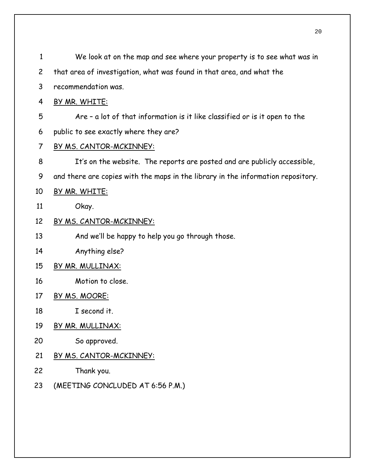| $\mathbf{1}$   | We look at on the map and see where your property is to see what was in          |
|----------------|----------------------------------------------------------------------------------|
| $\overline{2}$ | that area of investigation, what was found in that area, and what the            |
| 3              | recommendation was.                                                              |
| 4              | BY MR. WHITE:                                                                    |
| 5              | Are - a lot of that information is it like classified or is it open to the       |
| 6              | public to see exactly where they are?                                            |
| $\overline{7}$ | BY MS. CANTOR-MCKINNEY:                                                          |
| 8              | It's on the website. The reports are posted and are publicly accessible,         |
| 9              | and there are copies with the maps in the library in the information repository. |
| 10             | BY MR. WHITE:                                                                    |
| 11             | Okay.                                                                            |
| 12             | <u>BY MS. CANTOR-MCKINNEY:</u>                                                   |
| 13             | And we'll be happy to help you go through those.                                 |
| 14             | Anything else?                                                                   |
| 15             | BY MR. MULLINAX:                                                                 |
| 16             | Motion to close.                                                                 |
| 17             | BY MS. MOORE:                                                                    |
| 18             | I second it.                                                                     |
| 19             | BY MR. MULLINAX:                                                                 |
| 20             | So approved.                                                                     |
| 21             | BY MS. CANTOR-MCKINNEY:                                                          |
| 22             | Thank you.                                                                       |
| 23             | (MEETING CONCLUDED AT 6:56 P.M.)                                                 |